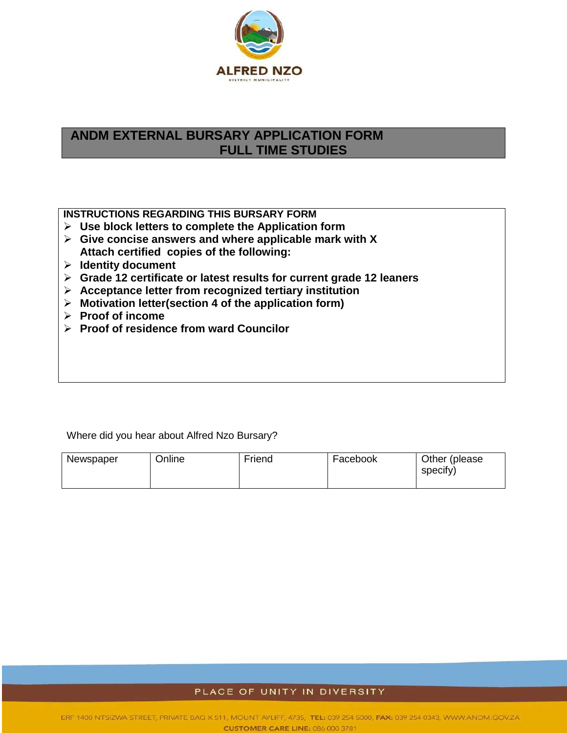

# **ANDM EXTERNAL BURSARY APPLICATION FORM FULL TIME STUDIES**

**INSTRUCTIONS REGARDING THIS BURSARY FORM** 

- **Use block letters to complete the Application form**
- **Give concise answers and where applicable mark with X Attach certified copies of the following:**
- **Identity document**
- **Grade 12 certificate or latest results for current grade 12 leaners**
- **Acceptance letter from recognized tertiary institution**
- **Motivation letter(section 4 of the application form)**
- **Proof of income**
- **Proof of residence from ward Councilor**

Where did you hear about Alfred Nzo Bursary?

| Newspaper | Online | Friend | Facebook | Other (please) |
|-----------|--------|--------|----------|----------------|
|           |        |        |          | specify)       |

#### PLACE OF UNITY IN DIVERSITY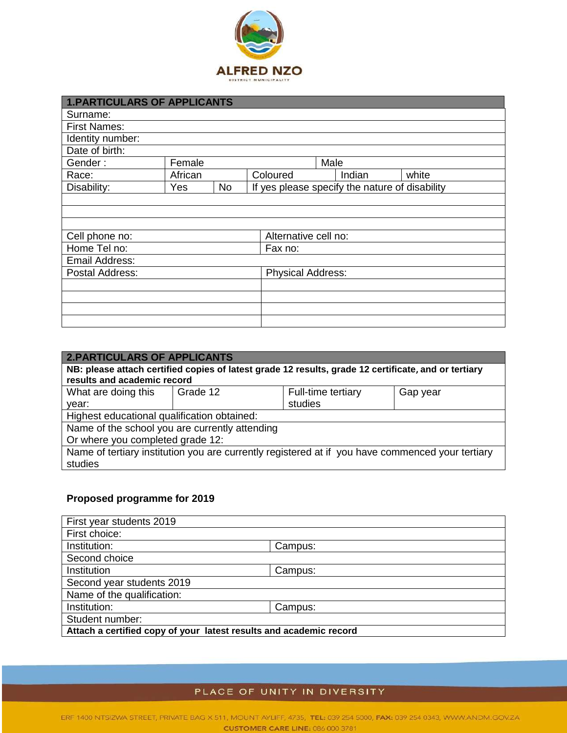

| <b>1.PARTICULARS OF APPLICANTS</b> |         |           |                      |                                                |        |       |  |  |
|------------------------------------|---------|-----------|----------------------|------------------------------------------------|--------|-------|--|--|
| Surname:                           |         |           |                      |                                                |        |       |  |  |
| <b>First Names:</b>                |         |           |                      |                                                |        |       |  |  |
| Identity number:                   |         |           |                      |                                                |        |       |  |  |
| Date of birth:                     |         |           |                      |                                                |        |       |  |  |
| Gender:                            | Female  |           |                      | Male                                           |        |       |  |  |
| Race:                              | African |           | Coloured             |                                                | Indian | white |  |  |
| Disability:                        | Yes     | <b>No</b> |                      | If yes please specify the nature of disability |        |       |  |  |
|                                    |         |           |                      |                                                |        |       |  |  |
|                                    |         |           |                      |                                                |        |       |  |  |
|                                    |         |           |                      |                                                |        |       |  |  |
| Cell phone no:                     |         |           | Alternative cell no: |                                                |        |       |  |  |
| Home Tel no:                       |         |           | Fax no:              |                                                |        |       |  |  |
| Email Address:                     |         |           |                      |                                                |        |       |  |  |
| Postal Address:                    |         |           |                      | <b>Physical Address:</b>                       |        |       |  |  |
|                                    |         |           |                      |                                                |        |       |  |  |
|                                    |         |           |                      |                                                |        |       |  |  |
|                                    |         |           |                      |                                                |        |       |  |  |
|                                    |         |           |                      |                                                |        |       |  |  |

| <b>2.PARTICULARS OF APPLICANTS</b>                                                                   |          |                    |          |  |  |  |  |  |
|------------------------------------------------------------------------------------------------------|----------|--------------------|----------|--|--|--|--|--|
| NB: please attach certified copies of latest grade 12 results, grade 12 certificate, and or tertiary |          |                    |          |  |  |  |  |  |
| results and academic record                                                                          |          |                    |          |  |  |  |  |  |
| What are doing this                                                                                  | Grade 12 | Full-time tertiary | Gap year |  |  |  |  |  |
| year:                                                                                                |          | studies            |          |  |  |  |  |  |
| Highest educational qualification obtained:                                                          |          |                    |          |  |  |  |  |  |
| Name of the school you are currently attending                                                       |          |                    |          |  |  |  |  |  |
| Or where you completed grade 12:                                                                     |          |                    |          |  |  |  |  |  |
| Name of tertiary institution you are currently registered at if you have commenced your tertiary     |          |                    |          |  |  |  |  |  |
| studies                                                                                              |          |                    |          |  |  |  |  |  |

## **Proposed programme for 2019**

| First year students 2019                                           |         |  |  |  |  |
|--------------------------------------------------------------------|---------|--|--|--|--|
| First choice:                                                      |         |  |  |  |  |
| Institution:                                                       | Campus: |  |  |  |  |
| Second choice                                                      |         |  |  |  |  |
| Institution                                                        | Campus: |  |  |  |  |
| Second year students 2019                                          |         |  |  |  |  |
| Name of the qualification:                                         |         |  |  |  |  |
| Institution:                                                       | Campus: |  |  |  |  |
| Student number:                                                    |         |  |  |  |  |
| Attach a certified copy of your latest results and academic record |         |  |  |  |  |

### PLACE OF UNITY IN DIVERSITY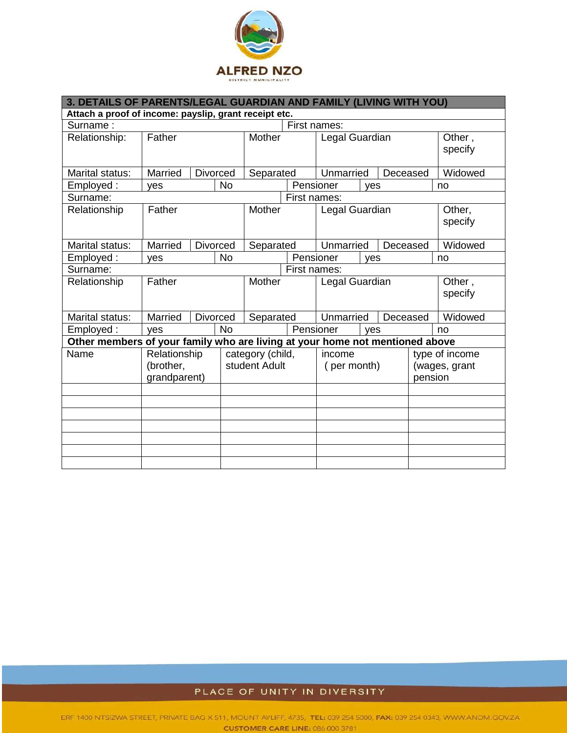

| 3. DETAILS OF PARENTS/LEGAL GUARDIAN AND FAMILY (LIVING WITH YOU)            |                                           |  |                                   |           |                       |                       |                                            |                   |                   |         |
|------------------------------------------------------------------------------|-------------------------------------------|--|-----------------------------------|-----------|-----------------------|-----------------------|--------------------------------------------|-------------------|-------------------|---------|
| Attach a proof of income: payslip, grant receipt etc.                        |                                           |  |                                   |           |                       |                       |                                            |                   |                   |         |
| First names:<br>Surname:                                                     |                                           |  |                                   |           |                       |                       |                                            |                   |                   |         |
| Relationship:                                                                | Father                                    |  | Mother                            |           | Legal Guardian        |                       |                                            |                   | Other,<br>specify |         |
| Marital status:                                                              | Married                                   |  | <b>Divorced</b>                   | Separated |                       | Unmarried<br>Deceased |                                            |                   | Widowed           |         |
| Employed:                                                                    | yes                                       |  | <b>No</b>                         |           | Pensioner             |                       | <b>ves</b>                                 |                   |                   | no      |
| Surname:                                                                     |                                           |  |                                   |           | First names:          |                       |                                            |                   |                   |         |
| Relationship                                                                 | Father                                    |  | Mother                            |           | Legal Guardian        |                       |                                            | Other,<br>specify |                   |         |
| Marital status:                                                              | Married                                   |  | <b>Divorced</b>                   | Separated |                       | Unmarried             |                                            | Deceased          |                   | Widowed |
| Employed:                                                                    | ves                                       |  | <b>No</b>                         |           | Pensioner             | ves                   |                                            |                   | no                |         |
| Surname:                                                                     |                                           |  |                                   |           | First names:          |                       |                                            |                   |                   |         |
| Relationship                                                                 | Father                                    |  | Mother                            |           | Legal Guardian        |                       |                                            | Other,<br>specify |                   |         |
| Marital status:                                                              | Married                                   |  | <b>Divorced</b>                   | Separated |                       | Unmarried<br>Deceased |                                            |                   | Widowed           |         |
| Employed:                                                                    | ves                                       |  | <b>No</b>                         |           | Pensioner             | ves                   |                                            |                   | no                |         |
| Other members of your family who are living at your home not mentioned above |                                           |  |                                   |           |                       |                       |                                            |                   |                   |         |
| Name                                                                         | Relationship<br>(brother,<br>grandparent) |  | category (child,<br>student Adult |           | income<br>(per month) |                       | type of income<br>(wages, grant<br>pension |                   |                   |         |
|                                                                              |                                           |  |                                   |           |                       |                       |                                            |                   |                   |         |
|                                                                              |                                           |  |                                   |           |                       |                       |                                            |                   |                   |         |
|                                                                              |                                           |  |                                   |           |                       |                       |                                            |                   |                   |         |
|                                                                              |                                           |  |                                   |           |                       |                       |                                            |                   |                   |         |
|                                                                              |                                           |  |                                   |           |                       |                       |                                            |                   |                   |         |
|                                                                              |                                           |  |                                   |           |                       |                       |                                            |                   |                   |         |
|                                                                              |                                           |  |                                   |           |                       |                       |                                            |                   |                   |         |

## PLACE OF UNITY IN DIVERSITY